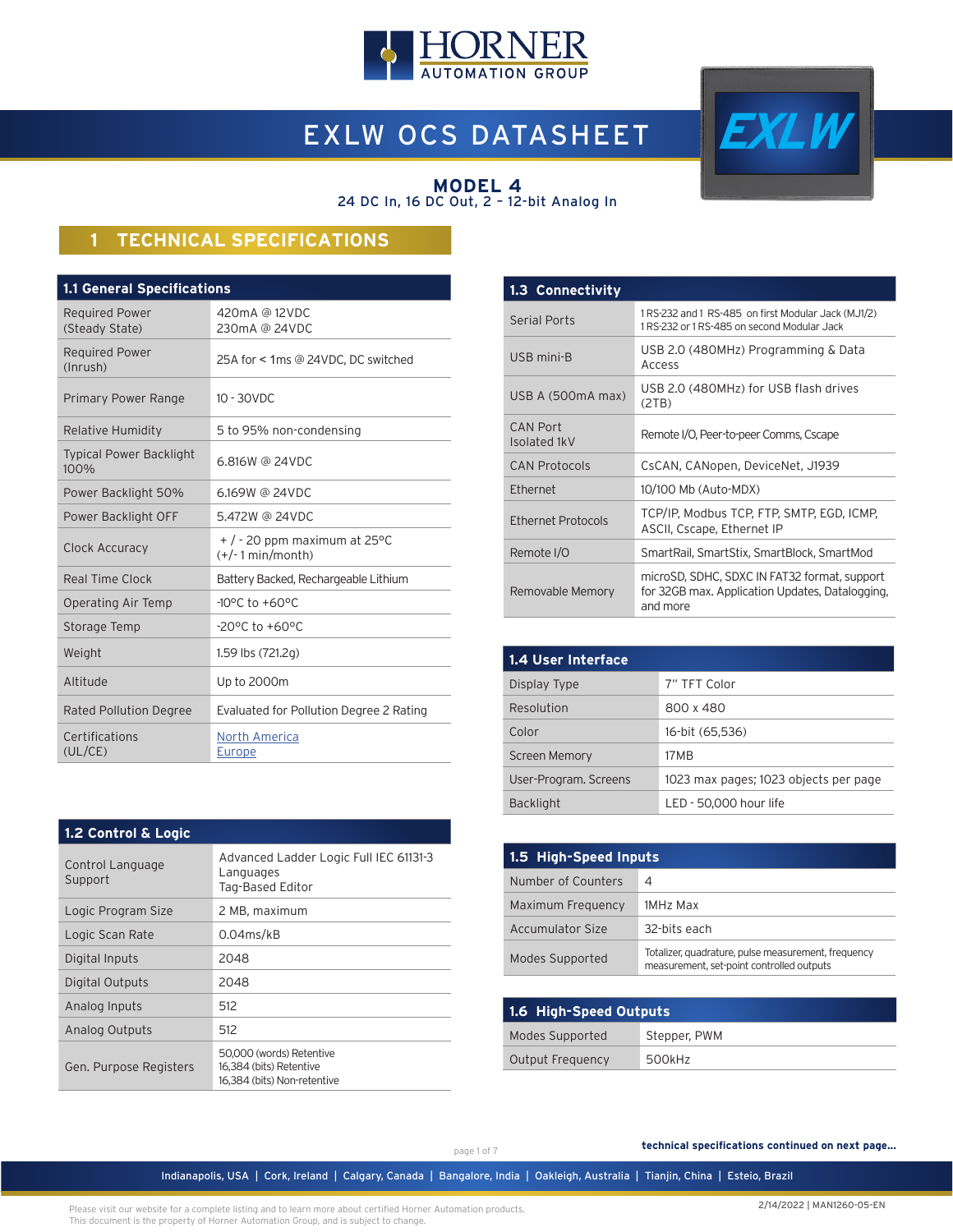

# EXLW OCS DATASHEET



#### **MODEL 4** 24 DC In, 16 DC Out, 2 – 12-bit Analog In

# **1 TECHNICAL SPECIFICATIONS**

| <b>1.1 General Specifications</b>       |                                                        |  |  |  |
|-----------------------------------------|--------------------------------------------------------|--|--|--|
| <b>Required Power</b><br>(Steady State) | 420mA @ 12VDC<br>230mA @ 24VDC                         |  |  |  |
| <b>Required Power</b><br>(Inrush)       | 25A for < 1ms @ 24VDC, DC switched                     |  |  |  |
| Primary Power Range                     | $10 - 30$ VDC                                          |  |  |  |
| Relative Humidity                       | 5 to 95% non-condensing                                |  |  |  |
| <b>Typical Power Backlight</b><br>100%  | 6.816W @ 24VDC                                         |  |  |  |
| Power Backlight 50%                     | 6.169W @ 24VDC                                         |  |  |  |
| Power Backlight OFF                     | 5.472W @ 24VDC                                         |  |  |  |
| Clock Accuracy                          | $+$ / - 20 ppm maximum at 25 °C<br>$(+/- 1 min/month)$ |  |  |  |
| Real Time Clock                         | Battery Backed, Rechargeable Lithium                   |  |  |  |
| Operating Air Temp                      | $-10^{\circ}$ C to $+60^{\circ}$ C                     |  |  |  |
| Storage Temp                            | $-20^{\circ}$ C to $+60^{\circ}$ C                     |  |  |  |
| Weight                                  | 1.59 lbs (721.2g)                                      |  |  |  |
| Altitude                                | Up to 2000m                                            |  |  |  |
| Rated Pollution Degree                  | Evaluated for Pollution Degree 2 Rating                |  |  |  |
| Certifications<br>(UL/CE)               | <b>North America</b><br>Europe                         |  |  |  |

| 1.3 Connectivity                |                                                                                                             |
|---------------------------------|-------------------------------------------------------------------------------------------------------------|
| <b>Serial Ports</b>             | 1 RS-232 and 1 RS-485 on first Modular Jack (MJ1/2)<br>1 RS-232 or 1 RS-485 on second Modular Jack          |
| USB mini-B                      | USB 2.0 (480MHz) Programming & Data<br>Access                                                               |
| USB A (500mA max)               | USB 2.0 (480MHz) for USB flash drives<br>(2TB)                                                              |
| <b>CAN Port</b><br>Isolated 1kV | Remote I/O, Peer-to-peer Comms, Cscape                                                                      |
| <b>CAN Protocols</b>            | CsCAN, CANopen, DeviceNet, J1939                                                                            |
| Ethernet                        | 10/100 Mb (Auto-MDX)                                                                                        |
| Ethernet Protocols              | TCP/IP, Modbus TCP, FTP, SMTP, EGD, ICMP,<br>ASCII, Cscape, Ethernet IP                                     |
| Remote I/O                      | SmartRail, SmartStix, SmartBlock, SmartMod                                                                  |
| Removable Memory                | microSD, SDHC, SDXC IN FAT32 format, support<br>for 32GB max. Application Updates, Datalogging,<br>and more |

| <b>1.4 User Interface</b> |                                       |  |  |  |
|---------------------------|---------------------------------------|--|--|--|
| Display Type              | 7" TFT Color                          |  |  |  |
| Resolution                | 800 x 480                             |  |  |  |
| Color                     | 16-bit (65,536)                       |  |  |  |
| <b>Screen Memory</b>      | 17 M B                                |  |  |  |
| User-Program. Screens     | 1023 max pages; 1023 objects per page |  |  |  |
| <b>Backlight</b>          | LED - 50.000 hour life                |  |  |  |

| 1.5 High-Speed Inputs |                                                                                                  |  |  |
|-----------------------|--------------------------------------------------------------------------------------------------|--|--|
| Number of Counters    | 4                                                                                                |  |  |
| Maximum Frequency     | 1MHz Max                                                                                         |  |  |
| Accumulator Size      | 32-bits each                                                                                     |  |  |
| Modes Supported       | Totalizer, quadrature, pulse measurement, frequency<br>measurement, set-point controlled outputs |  |  |

| 1.6 High-Speed Outputs          |        |  |  |
|---------------------------------|--------|--|--|
| Modes Supported<br>Stepper, PWM |        |  |  |
| Output Frequency                | 500kHz |  |  |

| Control Language<br>Support | Advanced Ladder Logic Full IEC 61131-3<br>Languages<br>Tag-Based Editor |
|-----------------------------|-------------------------------------------------------------------------|
| Logic Program Size          | 2 MB, maximum                                                           |
| Logic Scan Rate             | $0.04$ ms/kB                                                            |
| Digital Inputs              | 2048                                                                    |
| Digital Outputs             | 2048                                                                    |
| Analog Inputs               | 512                                                                     |
| Analog Outputs              | 512                                                                     |

**1.2 Control & Logic**

Gen. Purpose Registers

page 1 of 7

 **technical specifications continued on next page...**

Indianapolis, USA | Cork, Ireland | Calgary, Canada | Bangalore, India | Oakleigh, Australia | Tianjin, China | Esteio, Brazil

Please visit our website for a complete listing and to learn more about certified Horner Automation products. This document is the property of Horner Automation Group, and is subject to change.

50,000 (words) Retentive 16,384 (bits) Retentive 16,384 (bits) Non-retentive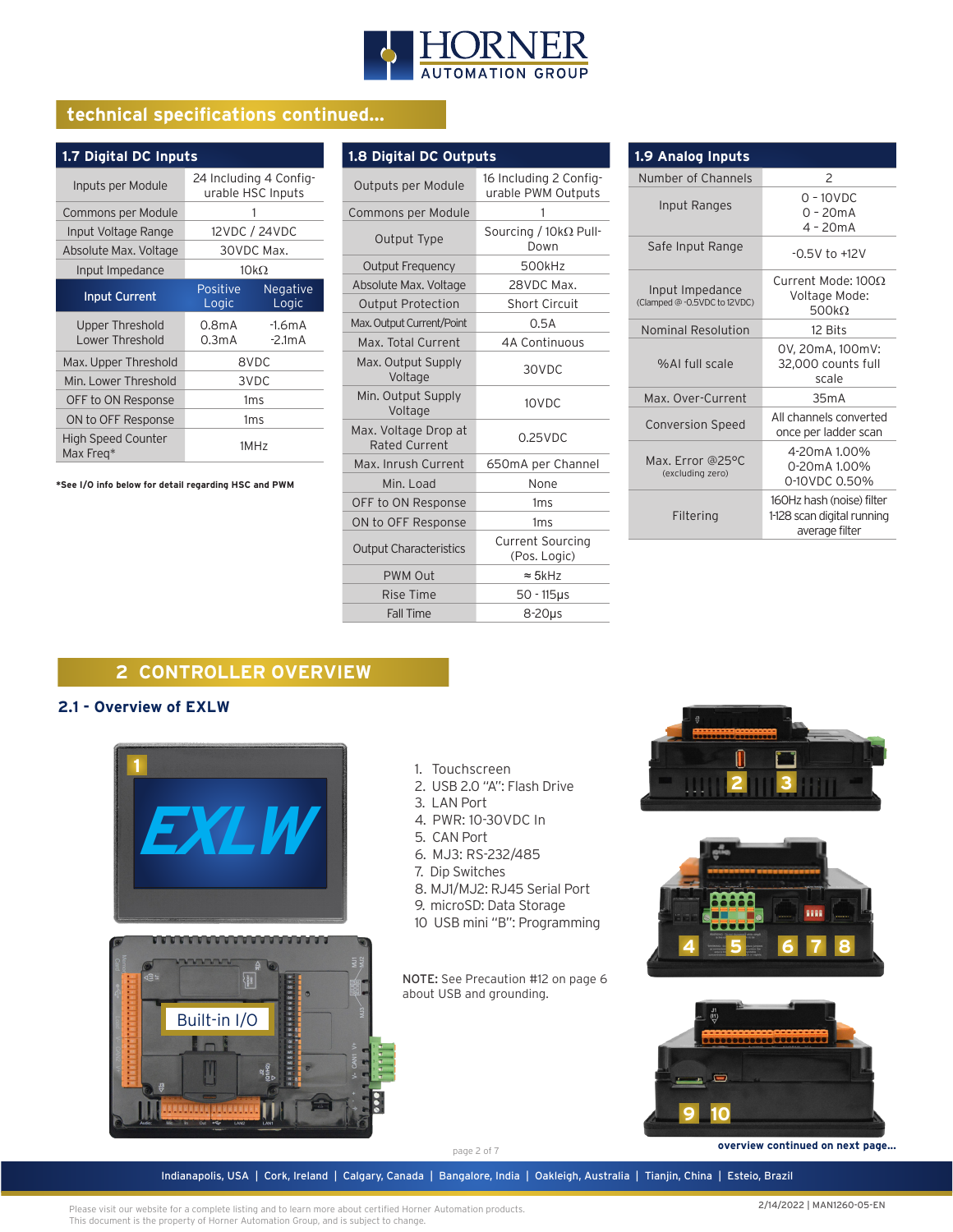

# **technical specifications continued...**

| 1.7 Digital DC Inputs                  |                                             |                          |  |  |
|----------------------------------------|---------------------------------------------|--------------------------|--|--|
| Inputs per Module                      | 24 Including 4 Config-<br>urable HSC Inputs |                          |  |  |
| Commons per Module                     |                                             |                          |  |  |
| Input Voltage Range                    | 12VDC / 24VDC                               |                          |  |  |
| Absolute Max. Voltage                  | 30VDC Max.                                  |                          |  |  |
| Input Impedance                        | $10k\Omega$                                 |                          |  |  |
| <b>Input Current</b>                   | Positive<br>Logic                           | <b>Negative</b><br>Logic |  |  |
| Upper Threshold<br>Lower Threshold     | 0.8mA<br>0.3mA                              | $-1.6mA$<br>$-2.1mA$     |  |  |
| Max. Upper Threshold                   |                                             | 8VDC                     |  |  |
| Min. Lower Threshold                   |                                             | 3VDC                     |  |  |
| OFF to ON Response                     | 1 <sub>ms</sub>                             |                          |  |  |
| ON to OFF Response                     | 1 <sub>ms</sub>                             |                          |  |  |
| <b>High Speed Counter</b><br>Max Freg* |                                             | 1MHz                     |  |  |

**\*See I/O info below for detail regarding HSC and PWM**

| 1.8 Digital DC Outputs                       |                                              |  |  |
|----------------------------------------------|----------------------------------------------|--|--|
| Outputs per Module                           | 16 Including 2 Config-<br>urable PWM Outputs |  |  |
| Commons per Module                           | 1                                            |  |  |
| Output Type                                  | Sourcing / $10k\Omega$ Pull-<br>Down         |  |  |
| Output Frequency                             | 500kHz                                       |  |  |
| Absolute Max. Voltage                        | 28VDC Max.                                   |  |  |
| <b>Output Protection</b>                     | <b>Short Circuit</b>                         |  |  |
| Max. Output Current/Point                    | 0.5A                                         |  |  |
| Max. Total Current                           | 4A Continuous                                |  |  |
| Max. Output Supply<br>Voltage                | 30VDC                                        |  |  |
| Min. Output Supply<br>Voltage                | 10VDC                                        |  |  |
| Max. Voltage Drop at<br><b>Rated Current</b> | $0.25$ VDC                                   |  |  |
| Max. Inrush Current                          | 650mA per Channel                            |  |  |
| Min. Load                                    | None                                         |  |  |
| OFF to ON Response                           | 1ms                                          |  |  |
| ON to OFF Response                           | 1ms                                          |  |  |
| <b>Output Characteristics</b>                | <b>Current Sourcing</b><br>(Pos. Logic)      |  |  |
| <b>PWM Out</b>                               | $\approx$ 5kHz                               |  |  |
| Rise Time                                    | $50 - 115$ us                                |  |  |
| <b>Fall Time</b>                             | 8-20us                                       |  |  |

| 1.9 Analog Inputs                               |                                                                           |  |  |  |
|-------------------------------------------------|---------------------------------------------------------------------------|--|--|--|
| Number of Channels                              | $\overline{c}$                                                            |  |  |  |
| Input Ranges                                    | $0 - 10$ VDC<br>$0 - 20mA$<br>$4 - 20mA$                                  |  |  |  |
| Safe Input Range                                | $-0.5V$ to $+12V$                                                         |  |  |  |
| Input Impedance<br>(Clamped @ -0.5VDC to 12VDC) | Current Mode: 1000<br>Voltage Mode:<br>500 $k\Omega$                      |  |  |  |
| <b>Nominal Resolution</b>                       | 12 Bits                                                                   |  |  |  |
| %Al full scale                                  | 0V, 20mA, 100mV:<br>32,000 counts full<br>scale                           |  |  |  |
| Max. Over-Current                               | 35mA                                                                      |  |  |  |
| <b>Conversion Speed</b>                         | All channels converted<br>once per ladder scan                            |  |  |  |
| Max. Error @25°C<br>(excluding zero)            | 4-20mA 1.00%<br>0-20mA 1.00%<br>0-10VDC 0.50%                             |  |  |  |
| Filtering                                       | 160Hz hash (noise) filter<br>1-128 scan digital running<br>average filter |  |  |  |

# **2 CONTROLLER OVERVIEW**

#### **2.1 - Overview of EXLW**



- 1. Touchscreen
- 2. USB 2.0 "A": Flash Drive
- 3. LAN Port
- 4. PWR: 10-30VDC In
- 
- 5. CAN Port
- 6. MJ3: RS-232/485
- 7. Dip Switches
- 8. MJ1/MJ2: RJ45 Serial Port
- 9. microSD: Data Storage
- 10 USB mini "B": Programming

NOTE: See Precaution #12 on page 6 about USB and grounding.







 **overview continued on next page...**

page 2 of 7

Indianapolis, USA | Cork, Ireland | Calgary, Canada | Bangalore, India | Oakleigh, Australia | Tianjin, China | Esteio, Brazil

Please visit our website for a complete listing and to learn more about certified Horner Automation products. This document is the property of Horner Automation Group, and is subject to change.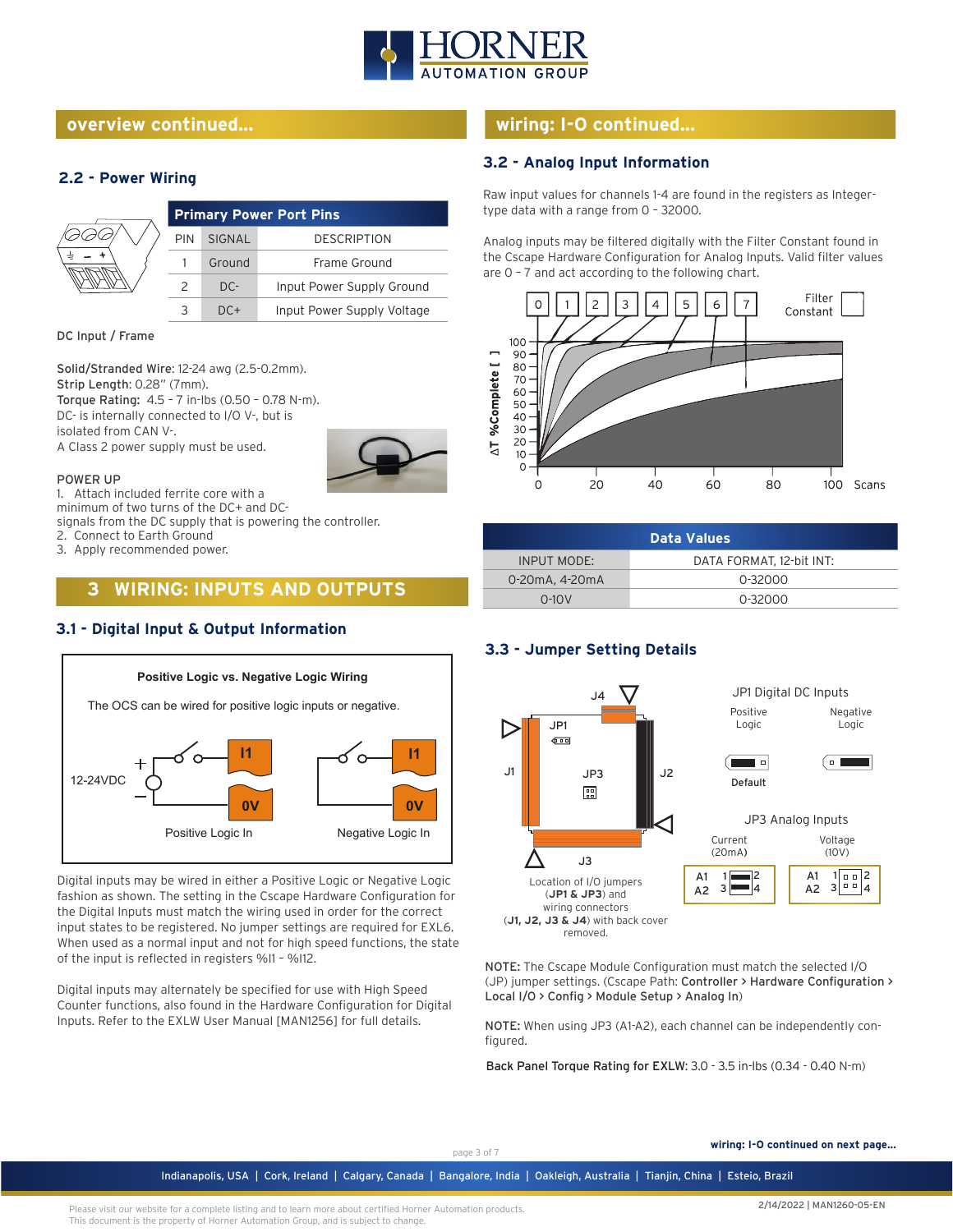

#### **overview continued...**

#### **2.2 - Power Wiring**

| <b>Primary Power Port Pins</b> |        |                            |
|--------------------------------|--------|----------------------------|
| <b>PIN</b>                     | SIGNAL | <b>DESCRIPTION</b>         |
|                                | Ground | Frame Ground               |
|                                | $DC-$  | Input Power Supply Ground  |
|                                | $DC+$  | Input Power Supply Voltage |

DC Input / Frame

Solid/Stranded Wire: 12-24 awg (2.5-0.2mm). Strip Length: 0.28" (7mm). Torque Rating: 4.5 – 7 in-lbs (0.50 – 0.78 N-m). DC- is internally connected to I/O V-, but is isolated from CAN V-.

A Class 2 power supply must be used.

#### POWER UP

1. Attach included ferrite core with a

minimum of two turns of the DC+ and DCsignals from the DC supply that is powering the controller.

2. Connect to Earth Ground

3. Apply recommended power.

# **3 WIRING: INPUTS AND OUTPUTS**

#### **3.1 - Digital Input & Output Information**



Digital inputs may be wired in either a Positive Logic or Negative Logic fashion as shown. The setting in the Cscape Hardware Configuration for the Digital Inputs must match the wiring used in order for the correct input states to be registered. No jumper settings are required for EXL6. When used as a normal input and not for high speed functions, the state of the input is reflected in registers %I1 – %I12.

Digital inputs may alternately be specified for use with High Speed Counter functions, also found in the Hardware Configuration for Digital Inputs. Refer to the EXLW User Manual [MAN1256] for full details.

# **wiring: I-O continued...**

#### **3.2 - Analog Input Information**

Raw input values for channels 1-4 are found in the registers as Integertype data with a range from 0 – 32000.

Analog inputs may be filtered digitally with the Filter Constant found in the Cscape Hardware Configuration for Analog Inputs. Valid filter values are 0 – 7 and act according to the following chart.



| <b>Data Values</b> |                          |  |
|--------------------|--------------------------|--|
| INPUT MODE:        | DATA FORMAT, 12-bit INT: |  |
| 0-20mA, 4-20mA     | 0-32000                  |  |
| $0-10V$            | 0-32000                  |  |

#### **3.3 - Jumper Setting Details**



NOTE: The Cscape Module Configuration must match the selected I/O (JP) jumper settings. (Cscape Path: Controller > Hardware Configuration > Local I/O > Config > Module Setup > Analog In)

NOTE: When using JP3 (A1-A2), each channel can be independently configured.

Back Panel Torque Rating for EXLW: 3.0 - 3.5 in-lbs (0.34 - 0.40 N-m)

page 3 of 7 **wiring: I-O continued on next page...** 

Indianapolis, USA | Cork, Ireland | Calgary, Canada | Bangalore, India | Oakleigh, Australia | Tianjin, China | Esteio, Brazil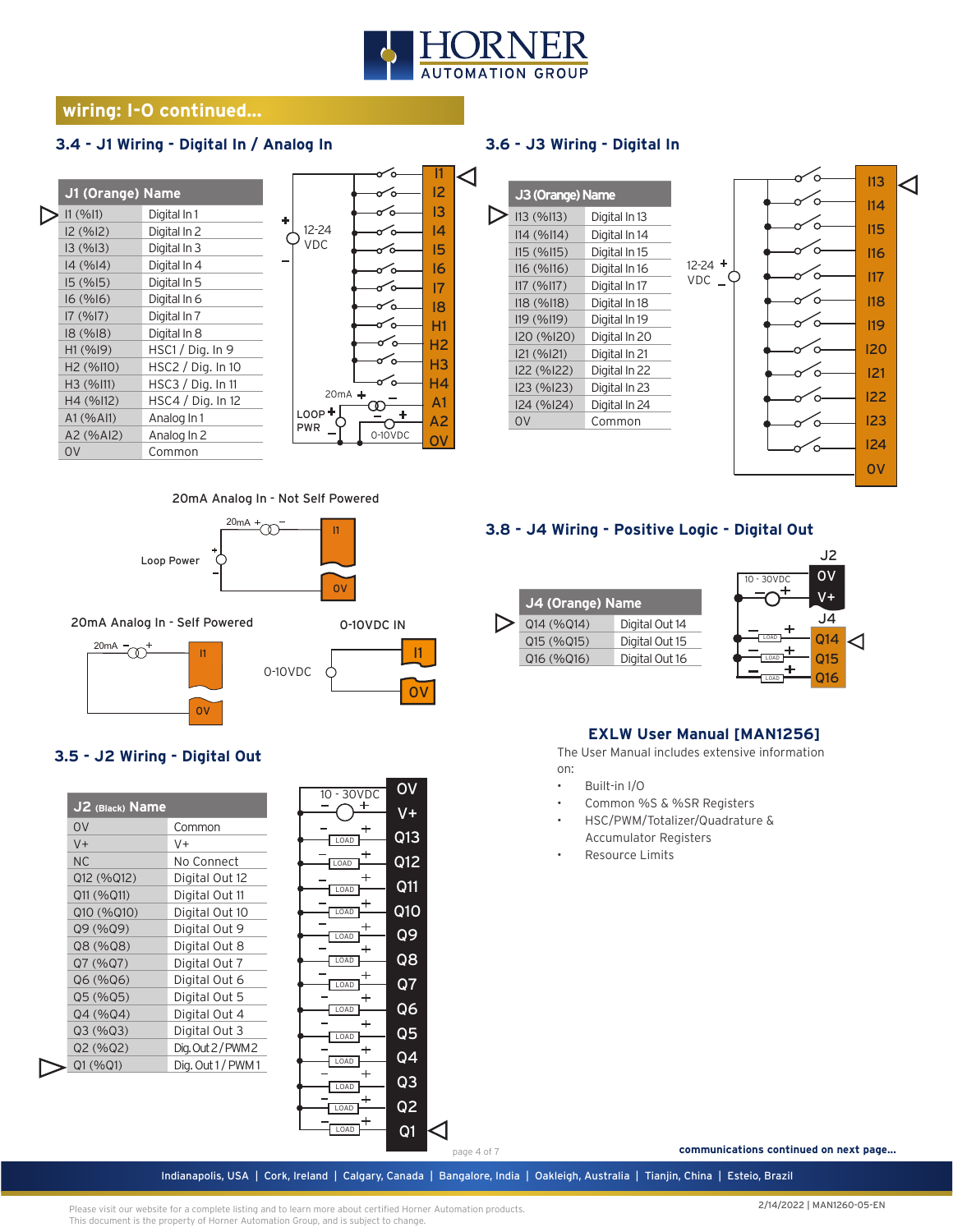

 $\operatorname{\lhd}$ 

# **wiring: I-O continued...**

### **3.4 - J1 Wiring - Digital In / Analog In**

| J1 (Orange) Name      |                     |            |
|-----------------------|---------------------|------------|
| 11 (9611)             | Digital In 1        |            |
| 12 (%12)              | Digital In 2        | 12-        |
| 13(%13)               | Digital In 3        | VГ         |
| 14(%14)               | Digital In 4        |            |
| 15(%15)               | Digital In 5        |            |
| 16(%16)               | Digital In 6        |            |
| 17(%17)               | Digital In 7        |            |
| 18(%18)               | Digital In 8        |            |
| H1(%19)               | $HSC1/$ Dig. In 9   |            |
| H <sub>2</sub> (%I10) | HSC2 / Dig. In 10   |            |
| H <sub>3</sub> (%I11) | $HSC3 /$ Dig. In 11 |            |
| H4 (%112)             | HSC4 / Dig. In 12   |            |
| A1 (% A11)            | Analog In 1         | LOO        |
| A2 (%AI2)             | Analog In 2         | <b>PWF</b> |
| OV                    | Common              |            |



# **3.6 - J3 Wiring - Digital In**



#### 20mA Analog In - Not Self Powered



20mA Analog In - Self Powered





# **3.5 - J2 Wiring - Digital Out**

| J2 (Black) Name |                  |
|-----------------|------------------|
| OV              | Common           |
| $V +$           | V+               |
| <b>NC</b>       | No Connect       |
| Q12 (%Q12)      | Digital Out 12   |
| Q11 (%Q11)      | Digital Out 11   |
| Q10 (%Q10)      | Digital Out 10   |
| Q9 (%Q9)        | Digital Out 9    |
| Q8 (%Q8)        | Digital Out 8    |
| Q7 (%Q7)        | Digital Out 7    |
| Q6 (%Q6)        | Digital Out 6    |
| Q5 (%Q5)        | Digital Out 5    |
| Q4 (%Q4)        | Digital Out 4    |
| Q3(%Q3)         | Digital Out 3    |
| Q2 (%Q2)        | Dig. Out 2/PWM 2 |
| Q1 (%Q1)        | Dig. Out 1/PWM1  |

| V <sub>DC</sub><br>10<br>30 | О٧             |
|-----------------------------|----------------|
|                             |                |
| LOAD                        | Q13            |
| OAD                         | Q12            |
| LOAD                        | Q11            |
|                             |                |
| LOAD                        | Q1O            |
| OAD                         | Q9             |
| LOAD                        | Q8             |
| LOAD                        | Q7             |
| ٠                           |                |
| LOAD                        | Q6             |
| t<br>LOAD                   | Q5             |
| OAD                         | Q4             |
|                             | Q3             |
| LOAD                        |                |
| OAD                         | Q <sub>2</sub> |
| OAD                         | Q <sub>1</sub> |
|                             |                |

#### **3.8 - J4 Wiring - Positive Logic - Digital Out**

| J4 (Orange) Name             |  |
|------------------------------|--|
| Q14 (%Q14)<br>Digital Out 14 |  |
| Q15 (%Q15)<br>Digital Out 15 |  |
| Digital Out 16<br>Q16 (%Q16) |  |



#### **EXLW User Manual [MAN1256]**

The User Manual includes extensive information on:

- Built-in I/O
- Common %S & %SR Registers
- HSC/PWM/Totalizer/Quadrature & Accumulator Registers
- Resource Limits

 **communications continued on next page...**

Indianapolis, USA | Cork, Ireland | Calgary, Canada | Bangalore, India | Oakleigh, Australia | Tianjin, China | Esteio, Brazil page 4 of 7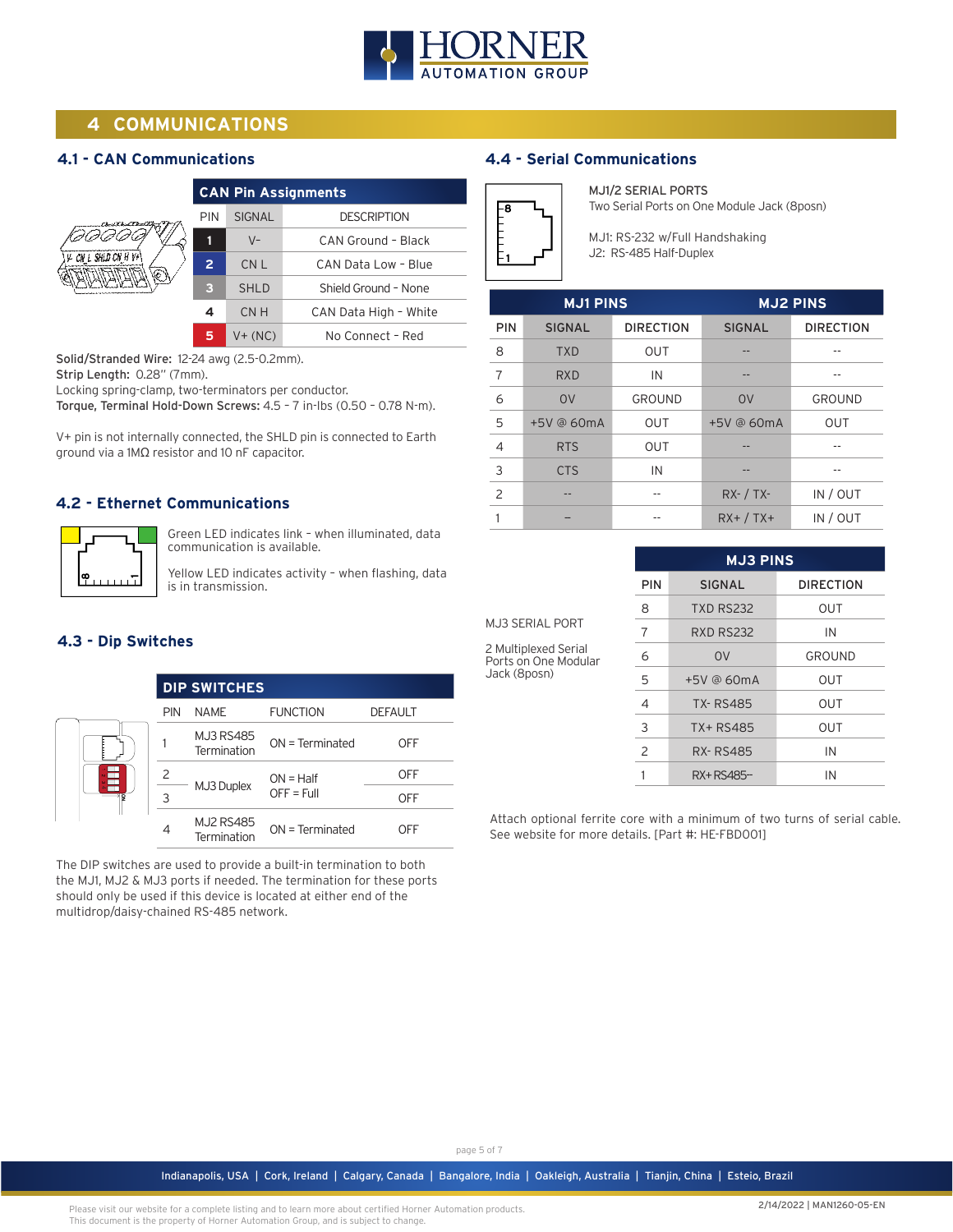

# **4 COMMUNICATIONS**

#### **4.1 - CAN Communications**

|                           | <b>CAN Pin Assignments</b> |                 |                       |  |
|---------------------------|----------------------------|-----------------|-----------------------|--|
| $V - CN L$ SHLD CN H $V+$ | <b>PIN</b>                 | <b>SIGNAL</b>   | <b>DESCRIPTION</b>    |  |
|                           | 11                         | $V -$           | CAN Ground - Black    |  |
|                           | $\overline{2}$             | CN <sub>L</sub> | CAN Data Low - Blue   |  |
|                           | з                          | <b>SHLD</b>     | Shield Ground - None  |  |
|                           | 4                          | CN H            | CAN Data High - White |  |
|                           | 5                          | $V + (NC)$      | No Connect - Red      |  |

Solid/Stranded Wire: 12-24 awg (2.5-0.2mm).

Strip Length: 0.28" (7mm).

Locking spring-clamp, two-terminators per conductor.

Torque, Terminal Hold-Down Screws: 4.5 – 7 in-lbs (0.50 – 0.78 N-m).

V+ pin is not internally connected, the SHLD pin is connected to Earth ground via a 1MΩ resistor and 10 nF capacitor.

#### **4.2 - Ethernet Communications**



Green LED indicates link – when illuminated, data communication is available.

Yellow LED indicates activity – when flashing, data is in transmission.

#### **4.3 - Dip Switches**

|   |            | <b>DIP SWITCHES</b>             |                             |                |
|---|------------|---------------------------------|-----------------------------|----------------|
|   | <b>PIN</b> | <b>NAME</b>                     | <b>FUNCTION</b>             | <b>DEFAULT</b> |
| g |            | <b>MJ3 RS485</b><br>Termination | $ON = Terminated$           | OFF            |
|   | 2          | MJ3 Duplex                      | $ON = Half$<br>$OFF = Full$ | OFF            |
|   | 3          |                                 |                             | OFF            |
|   | 4          | <b>MJ2 RS485</b><br>Termination | $ON = Terminated$           | OFF            |

The DIP switches are used to provide a built-in termination to both the MJ1, MJ2 & MJ3 ports if needed. The termination for these ports should only be used if this device is located at either end of the multidrop/daisy-chained RS-485 network.

### **4.4 - Serial Communications**



MJ1/2 SERIAL PORTS Two Serial Ports on One Module Jack (8posn)

MJ1: RS-232 w/Full Handshaking J2: RS-485 Half-Duplex

| <b>MJ1 PINS</b> |               |                  |               | <b>MJ2 PINS</b>  |
|-----------------|---------------|------------------|---------------|------------------|
| <b>PIN</b>      | <b>SIGNAL</b> | <b>DIRECTION</b> | <b>SIGNAL</b> | <b>DIRECTION</b> |
| 8               | <b>TXD</b>    | <b>OUT</b>       |               |                  |
| 7               | <b>RXD</b>    | IN               |               |                  |
| 6               | 0V            | <b>GROUND</b>    | 0V            | <b>GROUND</b>    |
| 5               | +5V @ 60mA    | <b>OUT</b>       | +5V @ 60mA    | <b>OUT</b>       |
| $\overline{4}$  | <b>RTS</b>    | <b>OUT</b>       |               |                  |
| 3               | <b>CTS</b>    | IN               |               |                  |
| $\overline{c}$  |               |                  | $RX - / TX -$ | IN / OUT         |
|                 |               |                  | $RX+ / TX+$   | IN / OUT         |

|                                              | PIN |  |
|----------------------------------------------|-----|--|
|                                              | 8   |  |
| <b>MJ3 SERIAL PORT</b>                       |     |  |
| 2 Multiplexed Serial<br>Ports on One Modular | h   |  |
| Jack (8posn)                                 | 5   |  |
|                                              |     |  |

| <b>MJ3 PINS</b> |                  |                  |  |
|-----------------|------------------|------------------|--|
| PIN             | <b>SIGNAL</b>    | <b>DIRECTION</b> |  |
| 8               | <b>TXD RS232</b> | OUT              |  |
| 7               | <b>RXD RS232</b> | IN               |  |
| 6               | O <sub>V</sub>   | GROUND           |  |
| 5               | +5V @ 60mA       | OUT              |  |
| $\overline{4}$  | <b>TX-RS485</b>  | OUT              |  |
| 3               | TX+ RS485        | OUT              |  |
| $\mathcal{P}$   | <b>RX-RS485</b>  | IN               |  |
|                 | RX+RS485-        | IN               |  |

Attach optional ferrite core with a minimum of two turns of serial cable. See website for more details. [Part #: HE-FBD001]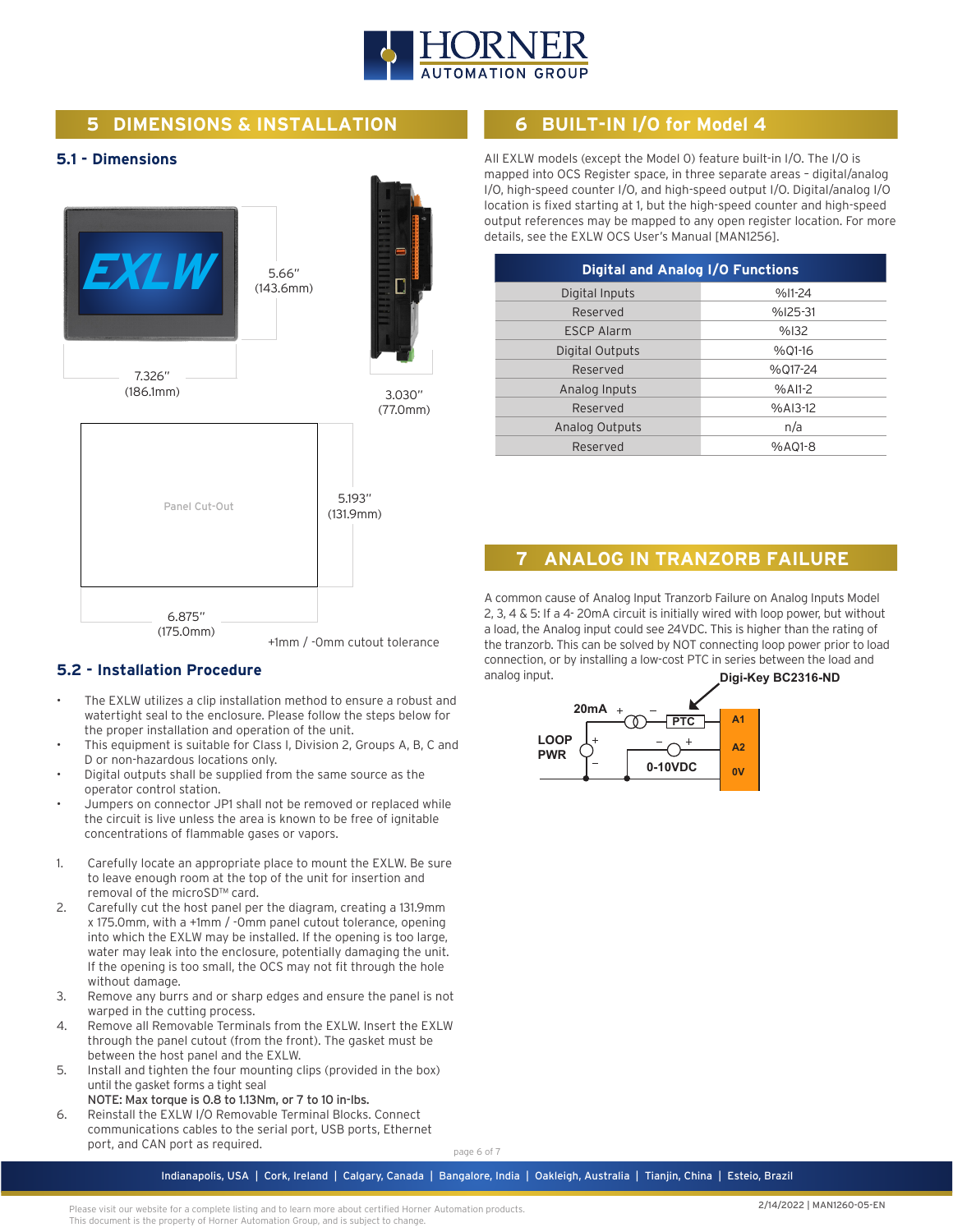

# **5 DIMENSIONS & INSTALLATION**

#### **5.1 - Dimensions**



#### **5.2 - Installation Procedure**

- The EXLW utilizes a clip installation method to ensure a robust and watertight seal to the enclosure. Please follow the steps below for the proper installation and operation of the unit.
- This equipment is suitable for Class I, Division 2, Groups A, B, C and D or non-hazardous locations only.
- Digital outputs shall be supplied from the same source as the operator control station.
- Jumpers on connector JP1 shall not be removed or replaced while the circuit is live unless the area is known to be free of ignitable concentrations of flammable gases or vapors.
- 1. Carefully locate an appropriate place to mount the EXLW. Be sure to leave enough room at the top of the unit for insertion and removal of the microSD™ card.
- 2. Carefully cut the host panel per the diagram, creating a 131.9mm x 175.0mm, with a +1mm / -0mm panel cutout tolerance, opening into which the EXLW may be installed. If the opening is too large, water may leak into the enclosure, potentially damaging the unit. If the opening is too small, the OCS may not fit through the hole without damage.
- 3. Remove any burrs and or sharp edges and ensure the panel is not warped in the cutting process.
- 4. Remove all Removable Terminals from the EXLW. Insert the EXLW through the panel cutout (from the front). The gasket must be between the host panel and the EXLW.
- 5. Install and tighten the four mounting clips (provided in the box) until the gasket forms a tight seal
- NOTE: Max torque is 0.8 to 1.13Nm, or 7 to 10 in-lbs. 6. Reinstall the EXLW I/O Removable Terminal Blocks. Connect communications cables to the serial port, USB ports, Ethernet port, and CAN port as required.

page 6 of 7

# **6 BUILT-IN I/O for Model 4**

All EXLW models (except the Model 0) feature built-in I/O. The I/O is mapped into OCS Register space, in three separate areas – digital/analog I/O, high-speed counter I/O, and high-speed output I/O. Digital/analog I/O location is fixed starting at 1, but the high-speed counter and high-speed output references may be mapped to any open register location. For more details, see the EXLW OCS User's Manual [MAN1256].

| <b>Digital and Analog I/O Functions</b> |           |  |  |  |
|-----------------------------------------|-----------|--|--|--|
| Digital Inputs                          | %I1-24    |  |  |  |
| Reserved                                | $%125-31$ |  |  |  |
| <b>ESCP Alarm</b>                       | %132      |  |  |  |
| Digital Outputs                         | %01-16    |  |  |  |
| Reserved                                | %017-24   |  |  |  |
| Analog Inputs                           | $%$ AI1-2 |  |  |  |
| Reserved                                | %AI3-12   |  |  |  |
| Analog Outputs                          | n/a       |  |  |  |
| Reserved                                | %A01-8    |  |  |  |
|                                         |           |  |  |  |

# **7 ANALOG IN TRANZORB FAILURE**

A common cause of Analog Input Tranzorb Failure on Analog Inputs Model 2, 3, 4 & 5: If a 4- 20mA circuit is initially wired with loop power, but without a load, the Analog input could see 24VDC. This is higher than the rating of the tranzorb. This can be solved by NOT connecting loop power prior to load connection, or by installing a low-cost PTC in series between the load and analog input. **Digi-Key BC2316-ND**



Indianapolis, USA | Cork, Ireland | Calgary, Canada | Bangalore, India | Oakleigh, Australia | Tianjin, China | Esteio, Brazil